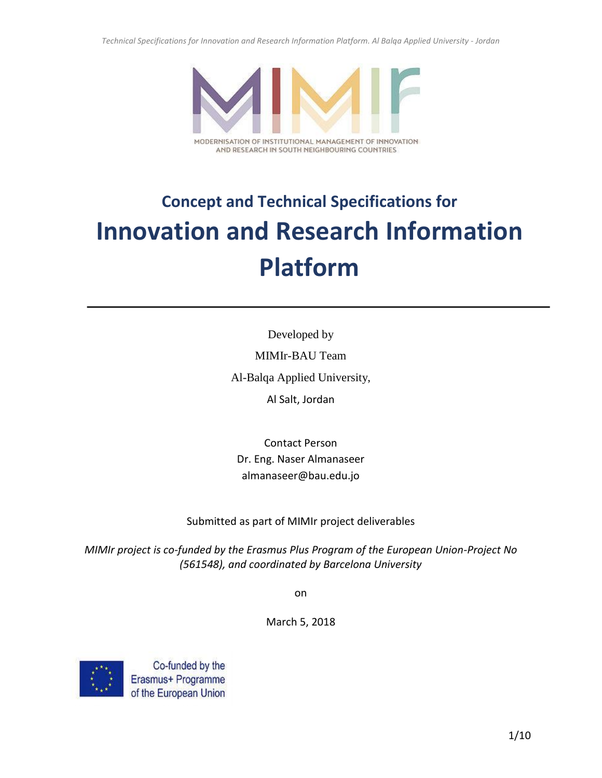*Technical Specifications for Innovation and Research Information Platform. Al Balqa Applied University - Jordan*



## AND RESEARCH IN SOUTH NEIGHBOURING COUNTRIES

# **Concept and Technical Specifications for Innovation and Research Information Platform**

Developed by MIMIr-BAU Team Al-Balqa Applied University, Al Salt, Jordan

Contact Person Dr. Eng. Naser Almanaseer almanaseer@bau.edu.jo

Submitted as part of MIMIr project deliverables

*MIMIr project is co-funded by the Erasmus Plus Program of the European Union-Project No (561548), and coordinated by Barcelona University*

on

March 5, 2018

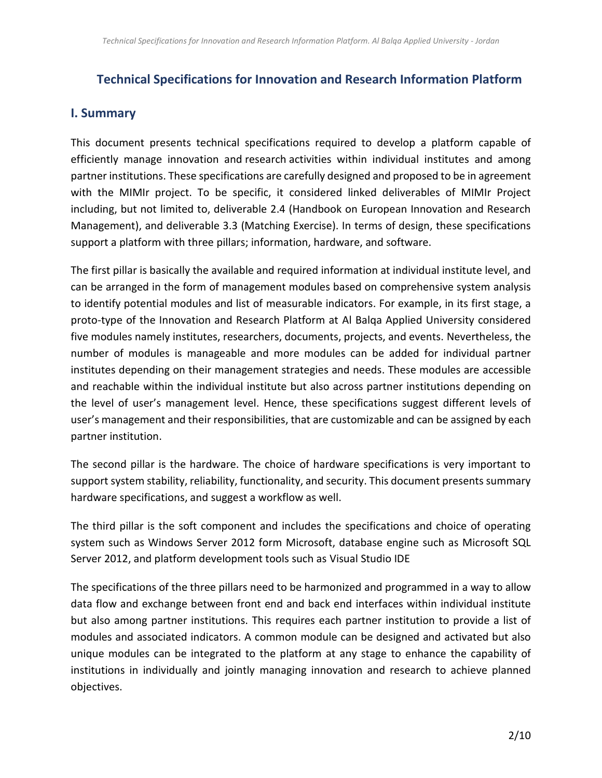## **Technical Specifications for Innovation and Research Information Platform**

## **I. Summary**

This document presents technical specifications required to develop a platform capable of efficiently manage innovation and research activities within individual institutes and among partner institutions. These specifications are carefully designed and proposed to be in agreement with the MIMIr project. To be specific, it considered linked deliverables of MIMIr Project including, but not limited to, deliverable 2.4 (Handbook on European Innovation and Research Management), and deliverable 3.3 (Matching Exercise). In terms of design, these specifications support a platform with three pillars; information, hardware, and software.

The first pillar is basically the available and required information at individual institute level, and can be arranged in the form of management modules based on comprehensive system analysis to identify potential modules and list of measurable indicators. For example, in its first stage, a proto-type of the Innovation and Research Platform at Al Balqa Applied University considered five modules namely institutes, researchers, documents, projects, and events. Nevertheless, the number of modules is manageable and more modules can be added for individual partner institutes depending on their management strategies and needs. These modules are accessible and reachable within the individual institute but also across partner institutions depending on the level of user's management level. Hence, these specifications suggest different levels of user's management and their responsibilities, that are customizable and can be assigned by each partner institution.

The second pillar is the hardware. The choice of hardware specifications is very important to support system stability, reliability, functionality, and security. This document presents summary hardware specifications, and suggest a workflow as well.

The third pillar is the soft component and includes the specifications and choice of operating system such as Windows Server 2012 form Microsoft, database engine such as Microsoft SQL Server 2012, and platform development tools such as Visual Studio IDE

The specifications of the three pillars need to be harmonized and programmed in a way to allow data flow and exchange between front end and back end interfaces within individual institute but also among partner institutions. This requires each partner institution to provide a list of modules and associated indicators. A common module can be designed and activated but also unique modules can be integrated to the platform at any stage to enhance the capability of institutions in individually and jointly managing innovation and research to achieve planned objectives.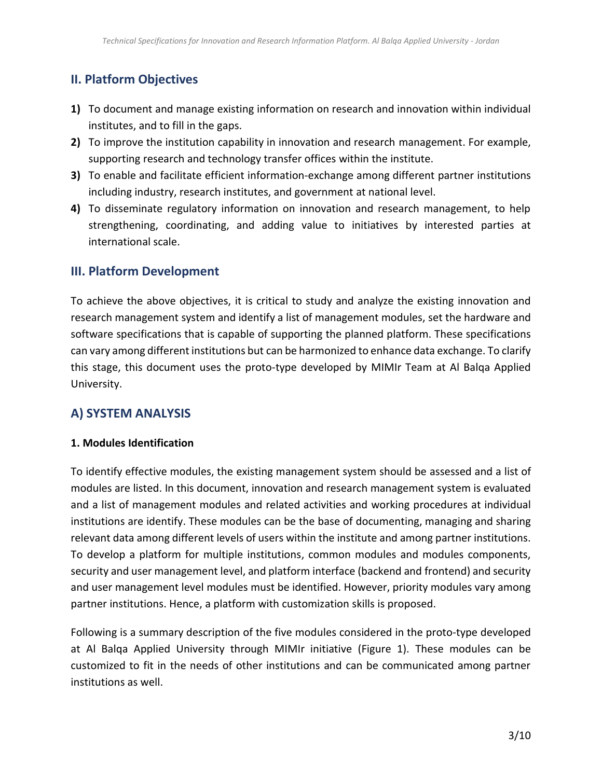## **II. Platform Objectives**

- **1)** To document and manage existing information on research and innovation within individual institutes, and to fill in the gaps.
- **2)** To improve the institution capability in innovation and research management. For example, supporting research and technology transfer offices within the institute.
- **3)** To enable and facilitate efficient information-exchange among different partner institutions including industry, research institutes, and government at national level.
- **4)** To disseminate regulatory information on innovation and research management, to help strengthening, coordinating, and adding value to initiatives by interested parties at international scale.

## **III. Platform Development**

To achieve the above objectives, it is critical to study and analyze the existing innovation and research management system and identify a list of management modules, set the hardware and software specifications that is capable of supporting the planned platform. These specifications can vary among different institutions but can be harmonized to enhance data exchange. To clarify this stage, this document uses the proto-type developed by MIMIr Team at Al Balqa Applied University.

## **A) SYSTEM ANALYSIS**

### **1. Modules Identification**

To identify effective modules, the existing management system should be assessed and a list of modules are listed. In this document, innovation and research management system is evaluated and a list of management modules and related activities and working procedures at individual institutions are identify. These modules can be the base of documenting, managing and sharing relevant data among different levels of users within the institute and among partner institutions. To develop a platform for multiple institutions, common modules and modules components, security and user management level, and platform interface (backend and frontend) and security and user management level modules must be identified. However, priority modules vary among partner institutions. Hence, a platform with customization skills is proposed.

Following is a summary description of the five modules considered in the proto-type developed at Al Balqa Applied University through MIMIr initiative (Figure 1). These modules can be customized to fit in the needs of other institutions and can be communicated among partner institutions as well.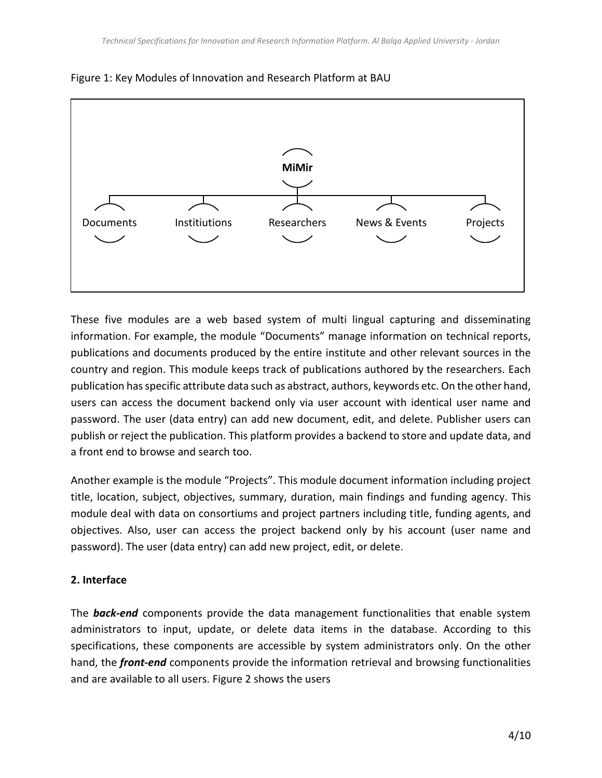



These five modules are a web based system of multi lingual capturing and disseminating information. For example, the module "Documents" manage information on technical reports, publications and documents produced by the entire institute and other relevant sources in the country and region. This module keeps track of publications authored by the researchers. Each publication has specific attribute data such as abstract, authors, keywords etc. On the other hand, users can access the document backend only via user account with identical user name and password. The user (data entry) can add new document, edit, and delete. Publisher users can publish or reject the publication. This platform provides a backend to store and update data, and a front end to browse and search too.

Another example is the module "Projects". This module document information including project title, location, subject, objectives, summary, duration, main findings and funding agency. This module deal with data on consortiums and project partners including title, funding agents, and objectives. Also, user can access the project backend only by his account (user name and password). The user (data entry) can add new project, edit, or delete.

## **2. Interface**

The *back-end* components provide the data management functionalities that enable system administrators to input, update, or delete data items in the database. According to this specifications, these components are accessible by system administrators only. On the other hand, the *front-end* components provide the information retrieval and browsing functionalities and are available to all users. Figure 2 shows the users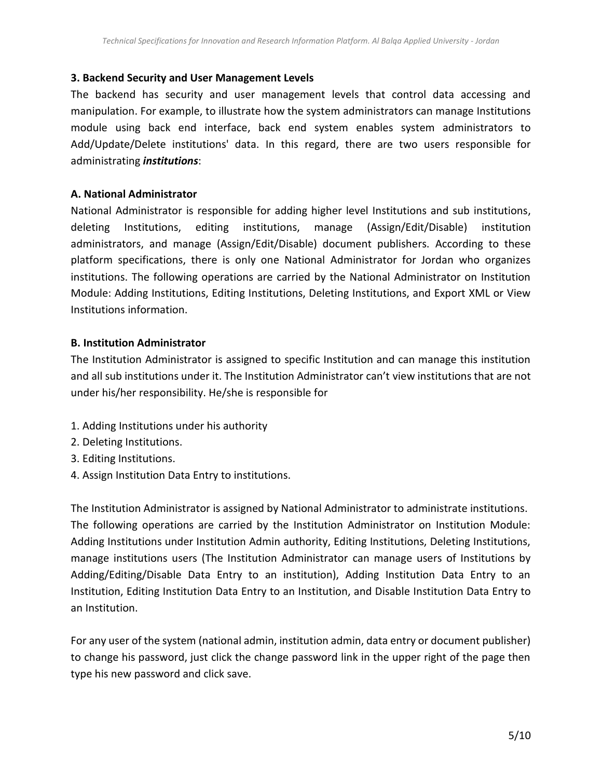#### **3. Backend Security and User Management Levels**

The backend has security and user management levels that control data accessing and manipulation. For example, to illustrate how the system administrators can manage Institutions module using back end interface, back end system enables system administrators to Add/Update/Delete institutions' data. In this regard, there are two users responsible for administrating *institutions*:

#### **A. National Administrator**

National Administrator is responsible for adding higher level Institutions and sub institutions, deleting Institutions, editing institutions, manage (Assign/Edit/Disable) institution administrators, and manage (Assign/Edit/Disable) document publishers. According to these platform specifications, there is only one National Administrator for Jordan who organizes institutions. The following operations are carried by the National Administrator on Institution Module: Adding Institutions, Editing Institutions, Deleting Institutions, and Export XML or View Institutions information.

### **B. Institution Administrator**

The Institution Administrator is assigned to specific Institution and can manage this institution and all sub institutions under it. The Institution Administrator can't view institutions that are not under his/her responsibility. He/she is responsible for

- 1. Adding Institutions under his authority
- 2. Deleting Institutions.
- 3. Editing Institutions.
- 4. Assign Institution Data Entry to institutions.

The Institution Administrator is assigned by National Administrator to administrate institutions. The following operations are carried by the Institution Administrator on Institution Module: Adding Institutions under Institution Admin authority, Editing Institutions, Deleting Institutions, manage institutions users (The Institution Administrator can manage users of Institutions by Adding/Editing/Disable Data Entry to an institution), Adding Institution Data Entry to an Institution, Editing Institution Data Entry to an Institution, and Disable Institution Data Entry to an Institution.

For any user of the system (national admin, institution admin, data entry or document publisher) to change his password, just click the change password link in the upper right of the page then type his new password and click save.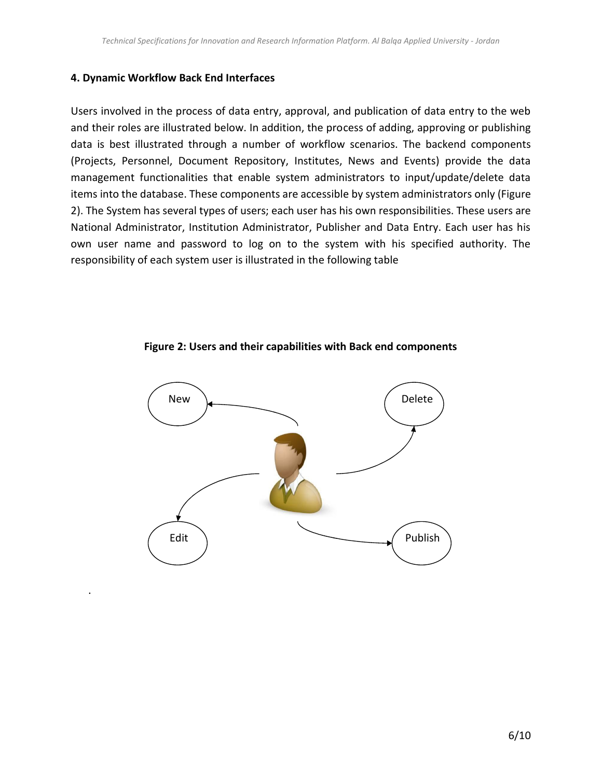#### **4. Dynamic Workflow Back End Interfaces**

.

Users involved in the process of data entry, approval, and publication of data entry to the web and their roles are illustrated below. In addition, the process of adding, approving or publishing data is best illustrated through a number of workflow scenarios. The backend components (Projects, Personnel, Document Repository, Institutes, News and Events) provide the data management functionalities that enable system administrators to input/update/delete data items into the database. These components are accessible by system administrators only (Figure 2). The System has several types of users; each user has his own responsibilities. These users are National Administrator, Institution Administrator, Publisher and Data Entry. Each user has his own user name and password to log on to the system with his specified authority. The responsibility of each system user is illustrated in the following table



**Figure 2: Users and their capabilities with Back end components**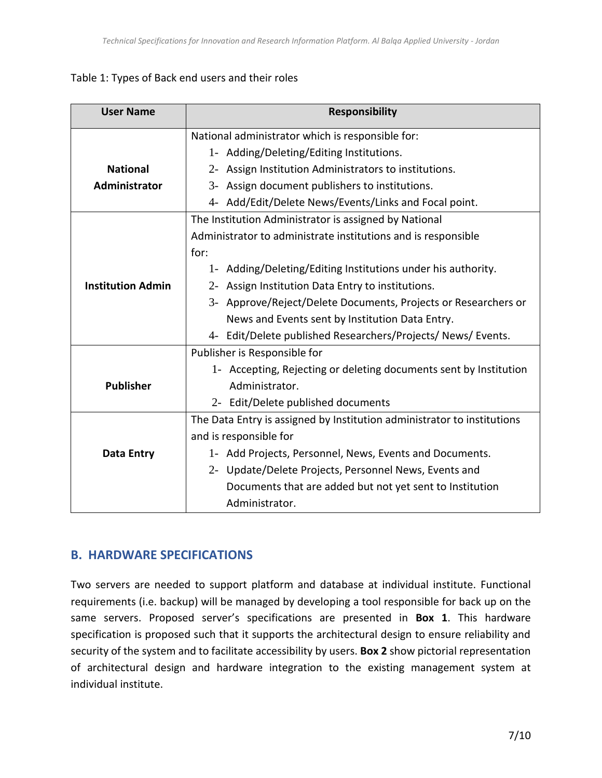## Table 1: Types of Back end users and their roles

| <b>User Name</b>         | <b>Responsibility</b>                                                   |
|--------------------------|-------------------------------------------------------------------------|
|                          | National administrator which is responsible for:                        |
|                          | 1- Adding/Deleting/Editing Institutions.                                |
| <b>National</b>          | 2- Assign Institution Administrators to institutions.                   |
| Administrator            | 3- Assign document publishers to institutions.                          |
|                          | 4- Add/Edit/Delete News/Events/Links and Focal point.                   |
|                          | The Institution Administrator is assigned by National                   |
|                          | Administrator to administrate institutions and is responsible           |
|                          | for:                                                                    |
|                          | 1- Adding/Deleting/Editing Institutions under his authority.            |
| <b>Institution Admin</b> | 2- Assign Institution Data Entry to institutions.                       |
|                          | 3- Approve/Reject/Delete Documents, Projects or Researchers or          |
|                          | News and Events sent by Institution Data Entry.                         |
|                          | 4- Edit/Delete published Researchers/Projects/News/Events.              |
|                          | Publisher is Responsible for                                            |
|                          | 1- Accepting, Rejecting or deleting documents sent by Institution       |
| <b>Publisher</b>         | Administrator.                                                          |
|                          | 2- Edit/Delete published documents                                      |
|                          | The Data Entry is assigned by Institution administrator to institutions |
|                          | and is responsible for                                                  |
| <b>Data Entry</b>        | 1- Add Projects, Personnel, News, Events and Documents.                 |
|                          | 2- Update/Delete Projects, Personnel News, Events and                   |
|                          | Documents that are added but not yet sent to Institution                |
|                          | Administrator.                                                          |

## **B. HARDWARE SPECIFICATIONS**

Two servers are needed to support platform and database at individual institute. Functional requirements (i.e. backup) will be managed by developing a tool responsible for back up on the same servers. Proposed server's specifications are presented in **Box 1**. This hardware specification is proposed such that it supports the architectural design to ensure reliability and security of the system and to facilitate accessibility by users. **Box 2** show pictorial representation of architectural design and hardware integration to the existing management system at individual institute.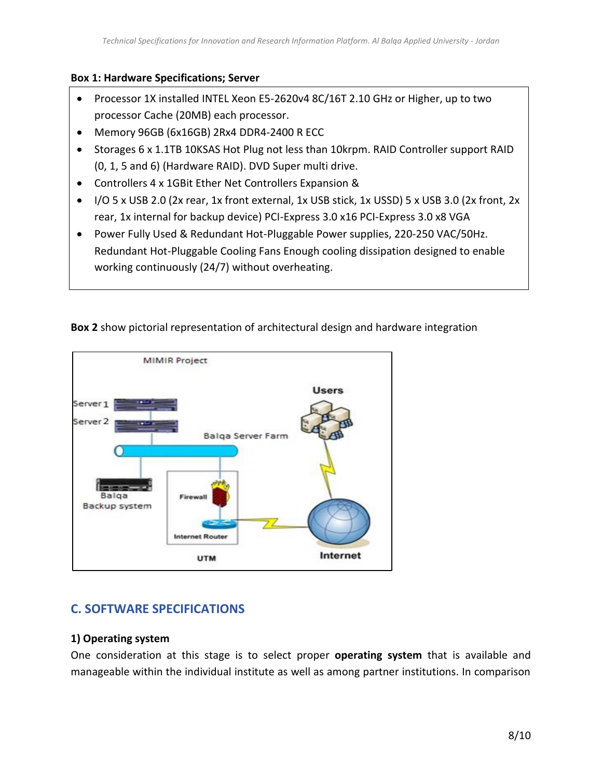### **Box 1: Hardware Specifications; Server**

- Processor 1X installed INTEL Xeon E5-2620v4 8C/16T 2.10 GHz or Higher, up to two processor Cache (20MB) each processor.
- Memory 96GB (6x16GB) 2Rx4 DDR4-2400 R ECC
- Storages 6 x 1.1TB 10KSAS Hot Plug not less than 10krpm. RAID Controller support RAID (0, 1, 5 and 6) (Hardware RAID). DVD Super multi drive.
- Controllers 4 x 1GBit Ether Net Controllers Expansion &
- I/O 5 x USB 2.0 (2x rear, 1x front external, 1x USB stick, 1x USSD) 5 x USB 3.0 (2x front, 2x rear, 1x internal for backup device) PCI-Express 3.0 x16 PCI-Express 3.0 x8 VGA
- Power Fully Used & Redundant Hot-Pluggable Power supplies, 220-250 VAC/50Hz. Redundant Hot-Pluggable Cooling Fans Enough cooling dissipation designed to enable working continuously (24/7) without overheating.



## **Box 2** show pictorial representation of architectural design and hardware integration

## **C. SOFTWARE SPECIFICATIONS**

### **1) Operating system**

One consideration at this stage is to select proper **operating system** that is available and manageable within the individual institute as well as among partner institutions. In comparison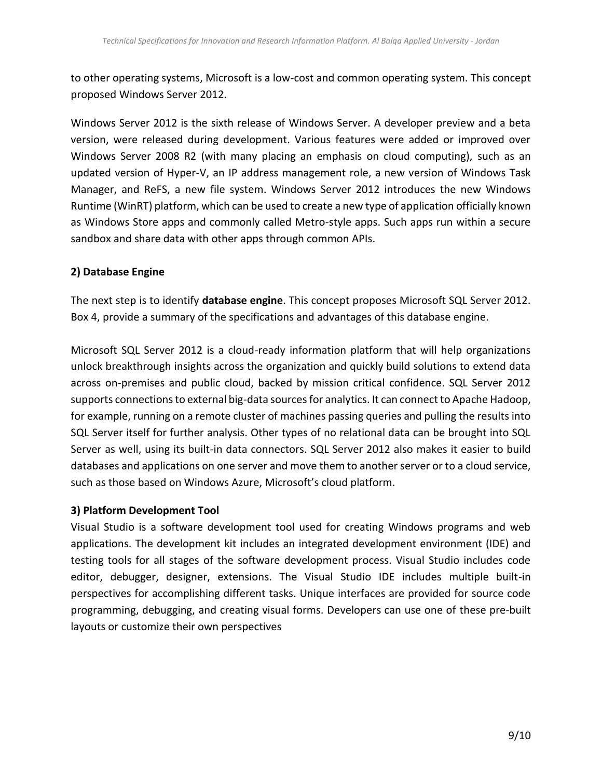to other operating systems, Microsoft is a low-cost and common operating system. This concept proposed Windows Server 2012.

Windows Server 2012 is the sixth release of Windows Server. A developer preview and a beta version, were released during development. Various features were added or improved over Windows Server 2008 R2 (with many placing an emphasis on cloud computing), such as an updated version of Hyper-V, an IP address management role, a new version of Windows Task Manager, and ReFS, a new file system. Windows Server 2012 introduces the new Windows Runtime (WinRT) platform, which can be used to create a new type of application officially known as Windows Store apps and commonly called Metro-style apps. Such apps run within a secure sandbox and share data with other apps through common APIs.

## **2) Database Engine**

The next step is to identify **database engine**. This concept proposes Microsoft SQL Server 2012. Box 4, provide a summary of the specifications and advantages of this database engine.

Microsoft SQL Server 2012 is a cloud-ready information platform that will help organizations unlock breakthrough insights across the organization and quickly build solutions to extend data across on-premises and public cloud, backed by mission critical confidence. SQL Server 2012 supports connections to external big-data sources for analytics. It can connect to Apache Hadoop, for example, running on a remote cluster of machines passing queries and pulling the results into SQL Server itself for further analysis. Other types of no relational data can be brought into SQL Server as well, using its built-in data connectors. SQL Server 2012 also makes it easier to build databases and applications on one server and move them to another server or to a cloud service, such as those based on Windows Azure, Microsoft's cloud platform.

## **3) Platform Development Tool**

Visual Studio is a software development tool used for creating Windows programs and web applications. The development kit includes an integrated development environment (IDE) and testing tools for all stages of the software development process. Visual Studio includes code editor, debugger, designer, extensions. The Visual Studio IDE includes multiple built-in perspectives for accomplishing different tasks. Unique interfaces are provided for source code programming, debugging, and creating visual forms. Developers can use one of these pre-built layouts or customize their own perspectives